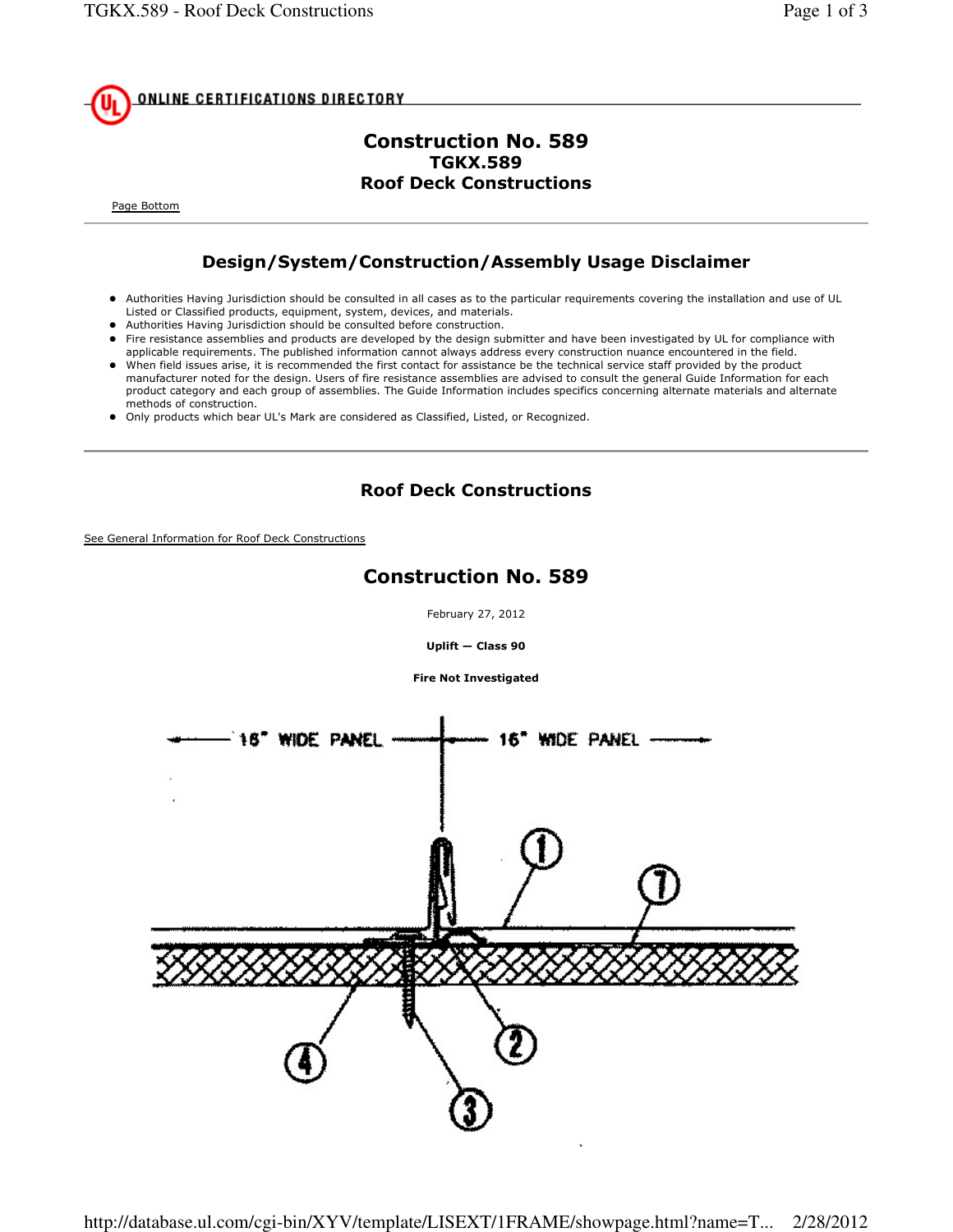

### Construction No. 589 TGKX.589 Roof Deck Constructions

Page Bottom

## Design/System/Construction/Assembly Usage Disclaimer

- Authorities Having Jurisdiction should be consulted in all cases as to the particular requirements covering the installation and use of UL Listed or Classified products, equipment, system, devices, and materials.
- Authorities Having Jurisdiction should be consulted before construction.
- Fire resistance assemblies and products are developed by the design submitter and have been investigated by UL for compliance with applicable requirements. The published information cannot always address every construction nuance encountered in the field.
- When field issues arise, it is recommended the first contact for assistance be the technical service staff provided by the product manufacturer noted for the design. Users of fire resistance assemblies are advised to consult the general Guide Information for each product category and each group of assemblies. The Guide Information includes specifics concerning alternate materials and alternate methods of construction.
- Only products which bear UL's Mark are considered as Classified, Listed, or Recognized.

### Roof Deck Constructions

See General Information for Roof Deck Constructions

# Construction No. 589

February 27, 2012

Uplift — Class 90

Fire Not Investigated

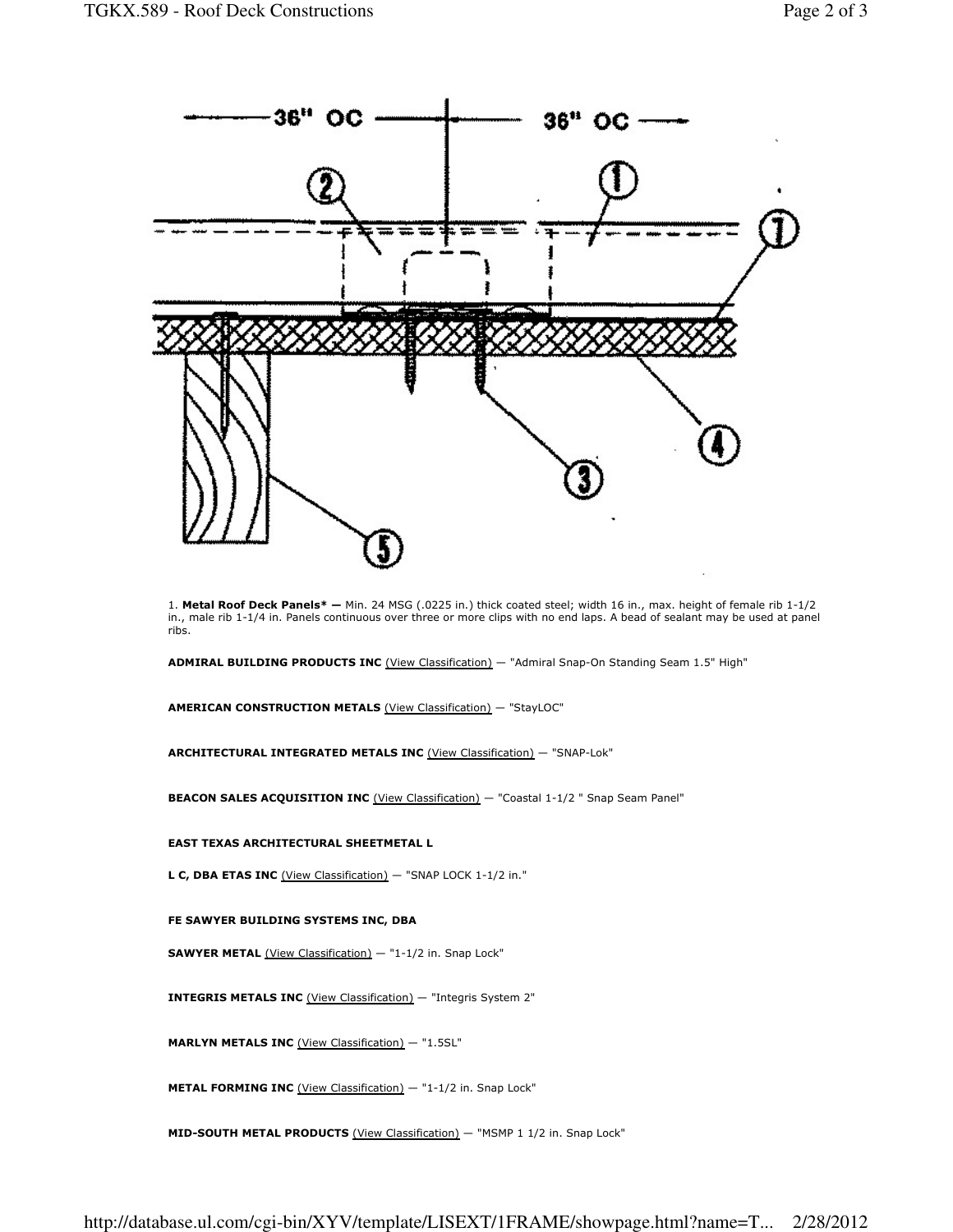

1. Metal Roof Deck Panels\* — Min. 24 MSG (.0225 in.) thick coated steel; width 16 in., max. height of female rib 1-1/2 in., male rib 1-1/4 in. Panels continuous over three or more clips with no end laps. A bead of sealant may be used at panel ribs.

ADMIRAL BUILDING PRODUCTS INC (View Classification) - "Admiral Snap-On Standing Seam 1.5" High"

AMERICAN CONSTRUCTION METALS (View Classification) — "StayLOC"

ARCHITECTURAL INTEGRATED METALS INC (View Classification) — "SNAP-Lok"

BEACON SALES ACQUISITION INC (View Classification) - "Coastal 1-1/2 " Snap Seam Panel"

#### EAST TEXAS ARCHITECTURAL SHEETMETAL L

L C, DBA ETAS INC (View Classification) — "SNAP LOCK 1-1/2 in."

#### FE SAWYER BUILDING SYSTEMS INC, DBA

SAWYER METAL (View Classification) — "1-1/2 in. Snap Lock"

INTEGRIS METALS INC (View Classification) — "Integris System 2"

MARLYN METALS INC (View Classification) - "1.5SL"

METAL FORMING INC (View Classification) - "1-1/2 in. Snap Lock"

MID-SOUTH METAL PRODUCTS (View Classification) - "MSMP 1 1/2 in. Snap Lock"